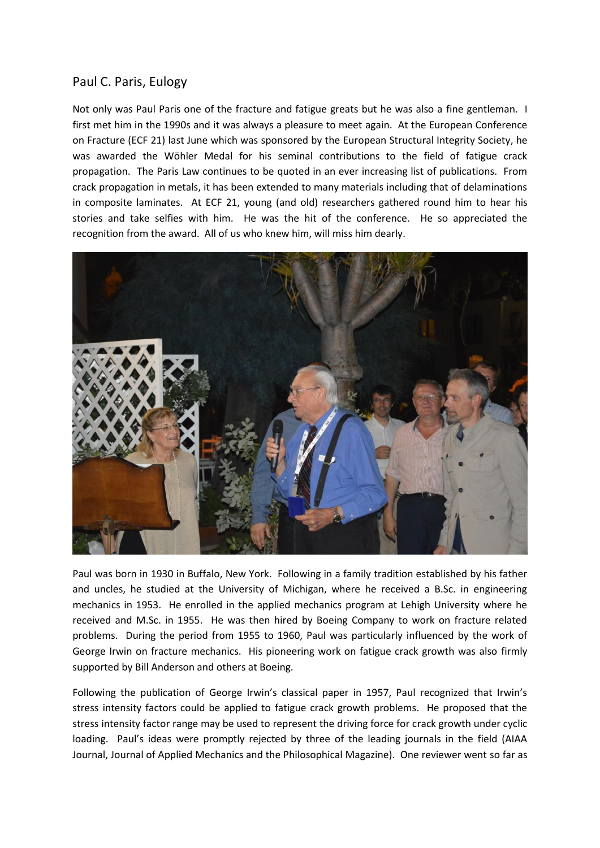## Paul C. Paris, Eulogy

Not only was Paul Paris one of the fracture and fatigue greats but he was also a fine gentleman. I first met him in the 1990s and it was always a pleasure to meet again. At the European Conference on Fracture (ECF 21) last June which was sponsored by the European Structural Integrity Society, he was awarded the Wöhler Medal for his seminal contributions to the field of fatigue crack propagation. The Paris Law continues to be quoted in an ever increasing list of publications. From crack propagation in metals, it has been extended to many materials including that of delaminations in composite laminates. At ECF 21, young (and old) researchers gathered round him to hear his stories and take selfies with him. He was the hit of the conference. He so appreciated the recognition from the award. All of us who knew him, will miss him dearly.



Paul was born in 1930 in Buffalo, New York. Following in a family tradition established by his father and uncles, he studied at the University of Michigan, where he received a B.Sc. in engineering mechanics in 1953. He enrolled in the applied mechanics program at Lehigh University where he received and M.Sc. in 1955. He was then hired by Boeing Company to work on fracture related problems. During the period from 1955 to 1960, Paul was particularly influenced by the work of George Irwin on fracture mechanics. His pioneering work on fatigue crack growth was also firmly supported by Bill Anderson and others at Boeing.

Following the publication of George Irwin's classical paper in 1957, Paul recognized that Irwin's stress intensity factors could be applied to fatigue crack growth problems. He proposed that the stress intensity factor range may be used to represent the driving force for crack growth under cyclic loading. Paul's ideas were promptly rejected by three of the leading journals in the field (AIAA Journal, Journal of Applied Mechanics and the Philosophical Magazine). One reviewer went so far as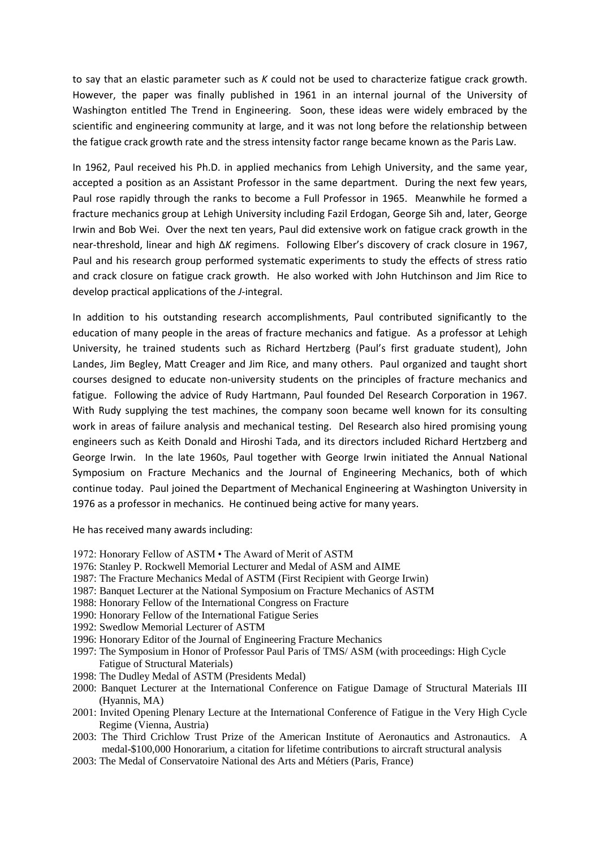to say that an elastic parameter such as *K* could not be used to characterize fatigue crack growth. However, the paper was finally published in 1961 in an internal journal of the University of Washington entitled The Trend in Engineering. Soon, these ideas were widely embraced by the scientific and engineering community at large, and it was not long before the relationship between the fatigue crack growth rate and the stress intensity factor range became known as the Paris Law.

In 1962, Paul received his Ph.D. in applied mechanics from Lehigh University, and the same year, accepted a position as an Assistant Professor in the same department. During the next few years, Paul rose rapidly through the ranks to become a Full Professor in 1965. Meanwhile he formed a fracture mechanics group at Lehigh University including Fazil Erdogan, George Sih and, later, George Irwin and Bob Wei. Over the next ten years, Paul did extensive work on fatigue crack growth in the near-threshold, linear and high Δ*K* regimens. Following Elber's discovery of crack closure in 1967, Paul and his research group performed systematic experiments to study the effects of stress ratio and crack closure on fatigue crack growth. He also worked with John Hutchinson and Jim Rice to develop practical applications of the *J*-integral.

In addition to his outstanding research accomplishments, Paul contributed significantly to the education of many people in the areas of fracture mechanics and fatigue. As a professor at Lehigh University, he trained students such as Richard Hertzberg (Paul's first graduate student), John Landes, Jim Begley, Matt Creager and Jim Rice, and many others. Paul organized and taught short courses designed to educate non-university students on the principles of fracture mechanics and fatigue. Following the advice of Rudy Hartmann, Paul founded Del Research Corporation in 1967. With Rudy supplying the test machines, the company soon became well known for its consulting work in areas of failure analysis and mechanical testing. Del Research also hired promising young engineers such as Keith Donald and Hiroshi Tada, and its directors included Richard Hertzberg and George Irwin. In the late 1960s, Paul together with George Irwin initiated the Annual National Symposium on Fracture Mechanics and the Journal of Engineering Mechanics, both of which continue today. Paul joined the Department of Mechanical Engineering at Washington University in 1976 as a professor in mechanics. He continued being active for many years.

He has received many awards including:

- 1972: Honorary Fellow of ASTM The Award of Merit of ASTM
- 1976: Stanley P. Rockwell Memorial Lecturer and Medal of ASM and AIME
- 1987: The Fracture Mechanics Medal of ASTM (First Recipient with George Irwin)
- 1987: Banquet Lecturer at the National Symposium on Fracture Mechanics of ASTM
- 1988: Honorary Fellow of the International Congress on Fracture
- 1990: Honorary Fellow of the International Fatigue Series
- 1992: Swedlow Memorial Lecturer of ASTM
- 1996: Honorary Editor of the Journal of Engineering Fracture Mechanics
- 1997: The Symposium in Honor of Professor Paul Paris of TMS/ ASM (with proceedings: High Cycle Fatigue of Structural Materials)
- 1998: The Dudley Medal of ASTM (Presidents Medal)
- 2000: Banquet Lecturer at the International Conference on Fatigue Damage of Structural Materials III (Hyannis, MA)
- 2001: Invited Opening Plenary Lecture at the International Conference of Fatigue in the Very High Cycle Regime (Vienna, Austria)
- 2003: The Third Crichlow Trust Prize of the American Institute of Aeronautics and Astronautics. A medal-\$100,000 Honorarium, a citation for lifetime contributions to aircraft structural analysis
- 2003: The Medal of Conservatoire National des Arts and Métiers (Paris, France)